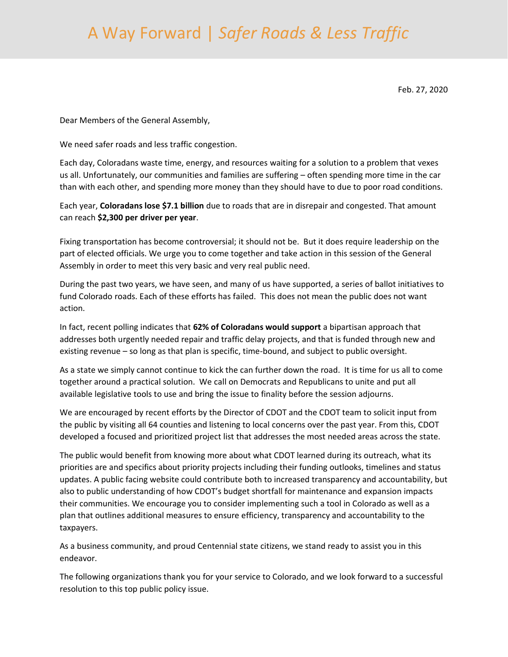## A Way Forward | *Safer Roads & Less Traffic*

Feb. 27, 2020

Dear Members of the General Assembly,

We need safer roads and less traffic congestion.

Each day, Coloradans waste time, energy, and resources waiting for a solution to a problem that vexes us all. Unfortunately, our communities and families are suffering – often spending more time in the car than with each other, and spending more money than they should have to due to poor road conditions.

Each year, **Coloradans lose \$7.1 billion** due to roads that are in disrepair and congested. That amount can reach **\$2,300 per driver per year**.

Fixing transportation has become controversial; it should not be. But it does require leadership on the part of elected officials. We urge you to come together and take action in this session of the General Assembly in order to meet this very basic and very real public need.

During the past two years, we have seen, and many of us have supported, a series of ballot initiatives to fund Colorado roads. Each of these efforts has failed. This does not mean the public does not want action.

In fact, recent polling indicates that **62% of Coloradans would support** a bipartisan approach that addresses both urgently needed repair and traffic delay projects, and that is funded through new and existing revenue – so long as that plan is specific, time-bound, and subject to public oversight.

As a state we simply cannot continue to kick the can further down the road. It is time for us all to come together around a practical solution. We call on Democrats and Republicans to unite and put all available legislative tools to use and bring the issue to finality before the session adjourns.

We are encouraged by recent efforts by the Director of CDOT and the CDOT team to solicit input from the public by visiting all 64 counties and listening to local concerns over the past year. From this, CDOT developed a focused and prioritized project list that addresses the most needed areas across the state.

The public would benefit from knowing more about what CDOT learned during its outreach, what its priorities are and specifics about priority projects including their funding outlooks, timelines and status updates. A public facing website could contribute both to increased transparency and accountability, but also to public understanding of how CDOT's budget shortfall for maintenance and expansion impacts their communities. We encourage you to consider implementing such a tool in Colorado as well as a plan that outlines additional measures to ensure efficiency, transparency and accountability to the taxpayers.

As a business community, and proud Centennial state citizens, we stand ready to assist you in this endeavor.

The following organizations thank you for your service to Colorado, and we look forward to a successful resolution to this top public policy issue.